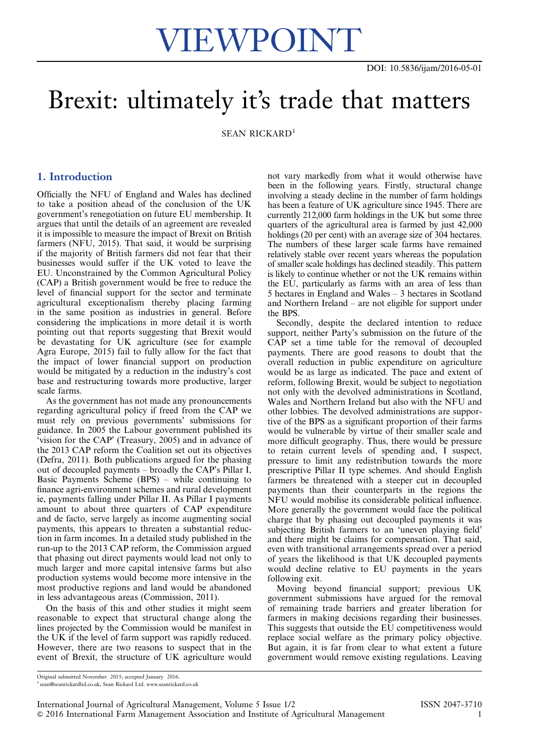# Brexit: ultimately it's trade that matters

SEAN RICKARD<sup>1</sup>

# 1. Introduction

Officially the NFU of England and Wales has declined to take a position ahead of the conclusion of the UK government's renegotiation on future EU membership. It argues that until the details of an agreement are revealed it is impossible to measure the impact of Brexit on British farmers (NFU, 2015). That said, it would be surprising if the majority of British farmers did not fear that their businesses would suffer if the UK voted to leave the EU. Unconstrained by the Common Agricultural Policy (CAP) a British government would be free to reduce the level of financial support for the sector and terminate agricultural exceptionalism thereby placing farming in the same position as industries in general. Before considering the implications in more detail it is worth pointing out that reports suggesting that Brexit would be devastating for UK agriculture (see for example Agra Europe, 2015) fail to fully allow for the fact that the impact of lower financial support on production would be mitigated by a reduction in the industry's cost base and restructuring towards more productive, larger scale farms.

As the government has not made any pronouncements regarding agricultural policy if freed from the CAP we must rely on previous governments' submissions for guidance. In 2005 the Labour government published its 'vision for the CAP' (Treasury, 2005) and in advance of the 2013 CAP reform the Coalition set out its objectives (Defra, 2011). Both publications argued for the phasing out of decoupled payments – broadly the CAP's Pillar I, Basic Payments Scheme (BPS) – while continuing to finance agri-environment schemes and rural development ie, payments falling under Pillar II. As Pillar I payments amount to about three quarters of CAP expenditure and de facto, serve largely as income augmenting social payments, this appears to threaten a substantial reduction in farm incomes. In a detailed study published in the run-up to the 2013 CAP reform, the Commission argued that phasing out direct payments would lead not only to much larger and more capital intensive farms but also production systems would become more intensive in the most productive regions and land would be abandoned in less advantageous areas (Commission, 2011).

On the basis of this and other studies it might seem reasonable to expect that structural change along the lines projected by the Commission would be manifest in the UK if the level of farm support was rapidly reduced. However, there are two reasons to suspect that in the event of Brexit, the structure of UK agriculture would

not vary markedly from what it would otherwise have been in the following years. Firstly, structural change involving a steady decline in the number of farm holdings has been a feature of UK agriculture since 1945. There are currently 212,000 farm holdings in the UK but some three quarters of the agricultural area is farmed by just 42,000 holdings (20 per cent) with an average size of 304 hectares. The numbers of these larger scale farms have remained relatively stable over recent years whereas the population of smaller scale holdings has declined steadily. This pattern is likely to continue whether or not the UK remains within the EU, particularly as farms with an area of less than 5 hectares in England and Wales – 3 hectares in Scotland and Northern Ireland – are not eligible for support under the BPS.

Secondly, despite the declared intention to reduce support, neither Party's submission on the future of the CAP set a time table for the removal of decoupled payments. There are good reasons to doubt that the overall reduction in public expenditure on agriculture would be as large as indicated. The pace and extent of reform, following Brexit, would be subject to negotiation not only with the devolved administrations in Scotland, Wales and Northern Ireland but also with the NFU and other lobbies. The devolved administrations are supportive of the BPS as a significant proportion of their farms would be vulnerable by virtue of their smaller scale and more difficult geography. Thus, there would be pressure to retain current levels of spending and, I suspect, pressure to limit any redistribution towards the more prescriptive Pillar II type schemes. And should English farmers be threatened with a steeper cut in decoupled payments than their counterparts in the regions the NFU would mobilise its considerable political influence. More generally the government would face the political charge that by phasing out decoupled payments it was subjecting British farmers to an 'uneven playing field' and there might be claims for compensation. That said, even with transitional arrangements spread over a period of years the likelihood is that UK decoupled payments would decline relative to EU payments in the years following exit.

Moving beyond financial support; previous UK government submissions have argued for the removal of remaining trade barriers and greater liberation for farmers in making decisions regarding their businesses. This suggests that outside the EU competitiveness would replace social welfare as the primary policy objective. But again, it is far from clear to what extent a future government would remove existing regulations. Leaving

Original submitted November 2015; accepted January 2016.

<sup>1</sup> sean@seanrickardltd.co.uk, Sean Rickard Ltd. www.seanrickard.co.uk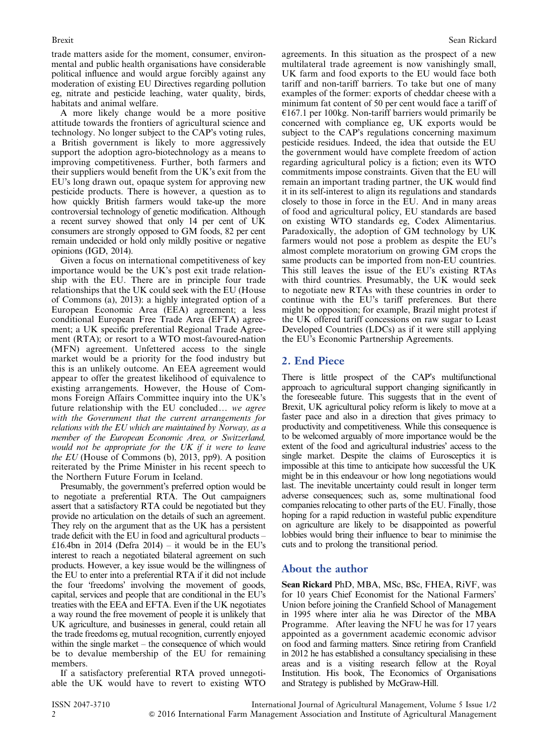trade matters aside for the moment, consumer, environmental and public health organisations have considerable political influence and would argue forcibly against any moderation of existing EU Directives regarding pollution eg, nitrate and pesticide leaching, water quality, birds, habitats and animal welfare.

A more likely change would be a more positive attitude towards the frontiers of agricultural science and technology. No longer subject to the CAP's voting rules, a British government is likely to more aggressively support the adoption agro-biotechnology as a means to improving competitiveness. Further, both farmers and their suppliers would benefit from the UK's exit from the EU's long drawn out, opaque system for approving new pesticide products. There is however, a question as to how quickly British farmers would take-up the more controversial technology of genetic modification. Although a recent survey showed that only 14 per cent of UK consumers are strongly opposed to GM foods, 82 per cent remain undecided or hold only mildly positive or negative opinions (IGD, 2014).

Given a focus on international competitiveness of key importance would be the UK's post exit trade relationship with the EU. There are in principle four trade relationships that the UK could seek with the EU (House of Commons (a), 2013): a highly integrated option of a European Economic Area (EEA) agreement; a less conditional European Free Trade Area (EFTA) agreement; a UK specific preferential Regional Trade Agreement (RTA); or resort to a WTO most-favoured-nation (MFN) agreement. Unfettered access to the single market would be a priority for the food industry but this is an unlikely outcome. An EEA agreement would appear to offer the greatest likelihood of equivalence to existing arrangements. However, the House of Commons Foreign Affairs Committee inquiry into the UK's future relationship with the EU concluded... we agree with the Government that the current arrangements for relations with the EU which are maintained by Norway, as a member of the European Economic Area, or Switzerland, would not be appropriate for the UK if it were to leave the EU (House of Commons (b), 2013, pp9). A position reiterated by the Prime Minister in his recent speech to the Northern Future Forum in Iceland.

Presumably, the government's preferred option would be to negotiate a preferential RTA. The Out campaigners assert that a satisfactory RTA could be negotiated but they provide no articulation on the details of such an agreement. They rely on the argument that as the UK has a persistent trade deficit with the EU in food and agricultural products – £16.4bn in 2014 (Defra 2014) – it would be in the EU's interest to reach a negotiated bilateral agreement on such products. However, a key issue would be the willingness of the EU to enter into a preferential RTA if it did not include the four 'freedoms' involving the movement of goods, capital, services and people that are conditional in the EU's treaties with the EEA and EFTA. Even if the UK negotiates a way round the free movement of people it is unlikely that UK agriculture, and businesses in general, could retain all the trade freedoms eg, mutual recognition, currently enjoyed within the single market – the consequence of which would be to devalue membership of the EU for remaining members.

If a satisfactory preferential RTA proved unnegotiable the UK would have to revert to existing WTO agreements. In this situation as the prospect of a new multilateral trade agreement is now vanishingly small, UK farm and food exports to the EU would face both tariff and non-tariff barriers. To take but one of many examples of the former: exports of cheddar cheese with a minimum fat content of 50 per cent would face a tariff of  $£167.1$  per 100kg. Non-tariff barriers would primarily be concerned with compliance eg, UK exports would be subject to the CAP's regulations concerning maximum pesticide residues. Indeed, the idea that outside the EU the government would have complete freedom of action regarding agricultural policy is a fiction; even its WTO commitments impose constraints. Given that the EU will remain an important trading partner, the UK would find it in its self-interest to align its regulations and standards closely to those in force in the EU. And in many areas of food and agricultural policy, EU standards are based on existing WTO standards eg, Codex Alimentarius. Paradoxically, the adoption of GM technology by UK farmers would not pose a problem as despite the EU's almost complete moratorium on growing GM crops the same products can be imported from non-EU countries. This still leaves the issue of the EU's existing RTAs with third countries. Presumably, the UK would seek to negotiate new RTAs with these countries in order to continue with the EU's tariff preferences. But there might be opposition; for example, Brazil might protest if the UK offered tariff concessions on raw sugar to Least Developed Countries (LDCs) as if it were still applying the EU's Economic Partnership Agreements.

### 2. End Piece

There is little prospect of the CAP's multifunctional approach to agricultural support changing significantly in the foreseeable future. This suggests that in the event of Brexit, UK agricultural policy reform is likely to move at a faster pace and also in a direction that gives primacy to productivity and competitiveness. While this consequence is to be welcomed arguably of more importance would be the extent of the food and agricultural industries' access to the single market. Despite the claims of Eurosceptics it is impossible at this time to anticipate how successful the UK might be in this endeavour or how long negotiations would last. The inevitable uncertainty could result in longer term adverse consequences; such as, some multinational food companies relocating to other parts of the EU. Finally, those hoping for a rapid reduction in wasteful public expenditure on agriculture are likely to be disappointed as powerful lobbies would bring their influence to bear to minimise the cuts and to prolong the transitional period.

## About the author

Sean Rickard PhD, MBA, MSc, BSc, FHEA, RiVF, was for 10 years Chief Economist for the National Farmers' Union before joining the Cranfield School of Management in 1995 where inter alia he was Director of the MBA Programme. After leaving the NFU he was for 17 years appointed as a government academic economic advisor on food and farming matters. Since retiring from Cranfield in 2012 he has established a consultancy specialising in these areas and is a visiting research fellow at the Royal Institution. His book, The Economics of Organisations and Strategy is published by McGraw-Hill.